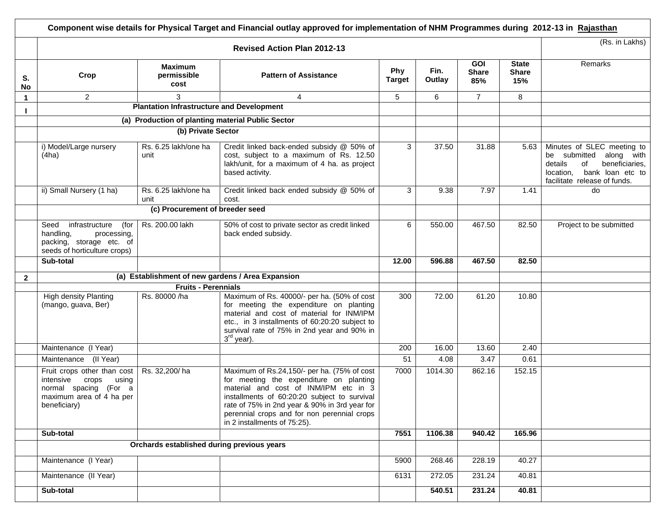|              |                                                                                                                                 |                                                   | Component wise details for Physical Target and Financial outlay approved for implementation of NHM Programmes during 2012-13 in Rajasthan                                                                                                                                                                       |                      |                |                                   |                                     |                                                                                                                                                              |
|--------------|---------------------------------------------------------------------------------------------------------------------------------|---------------------------------------------------|-----------------------------------------------------------------------------------------------------------------------------------------------------------------------------------------------------------------------------------------------------------------------------------------------------------------|----------------------|----------------|-----------------------------------|-------------------------------------|--------------------------------------------------------------------------------------------------------------------------------------------------------------|
|              |                                                                                                                                 | (Rs. in Lakhs)                                    |                                                                                                                                                                                                                                                                                                                 |                      |                |                                   |                                     |                                                                                                                                                              |
| S.<br>No     | Crop                                                                                                                            | <b>Maximum</b><br>permissible<br>cost             | <b>Pattern of Assistance</b>                                                                                                                                                                                                                                                                                    | Phy<br><b>Target</b> | Fin.<br>Outlay | <b>GOI</b><br><b>Share</b><br>85% | <b>State</b><br><b>Share</b><br>15% | Remarks                                                                                                                                                      |
| $\mathbf 1$  | $\overline{2}$                                                                                                                  | 3                                                 | 4                                                                                                                                                                                                                                                                                                               | 5                    | 6              | $\overline{7}$                    | 8                                   |                                                                                                                                                              |
|              |                                                                                                                                 | <b>Plantation Infrastructure and Development</b>  |                                                                                                                                                                                                                                                                                                                 |                      |                |                                   |                                     |                                                                                                                                                              |
|              |                                                                                                                                 | (a) Production of planting material Public Sector |                                                                                                                                                                                                                                                                                                                 |                      |                |                                   |                                     |                                                                                                                                                              |
|              |                                                                                                                                 | (b) Private Sector                                |                                                                                                                                                                                                                                                                                                                 |                      |                |                                   |                                     |                                                                                                                                                              |
|              | i) Model/Large nursery<br>(4ha)                                                                                                 | Rs. 6.25 lakh/one ha<br>unit                      | Credit linked back-ended subsidy @ 50% of<br>cost, subject to a maximum of Rs. 12.50<br>lakh/unit, for a maximum of 4 ha. as project<br>based activity.                                                                                                                                                         | 3                    | 37.50          | 31.88                             | 5.63                                | Minutes of SLEC meeting to<br>be submitted<br>along with<br>details<br>of<br>beneficiaries,<br>bank loan etc to<br>location,<br>facilitate release of funds. |
|              | ii) Small Nursery (1 ha)                                                                                                        | Rs. 6.25 lakh/one ha<br>unit                      | Credit linked back ended subsidy @ 50% of<br>cost.                                                                                                                                                                                                                                                              | 3                    | 9.38           | 7.97                              | 1.41                                | do                                                                                                                                                           |
|              |                                                                                                                                 | (c) Procurement of breeder seed                   |                                                                                                                                                                                                                                                                                                                 |                      |                |                                   |                                     |                                                                                                                                                              |
|              | Seed infrastructure<br>(for<br>handling,<br>processing,<br>packing, storage etc. of<br>seeds of horticulture crops)             | Rs. 200.00 lakh                                   | 50% of cost to private sector as credit linked<br>back ended subsidy.                                                                                                                                                                                                                                           | 6                    | 550.00         | 467.50                            | 82.50                               | Project to be submitted                                                                                                                                      |
|              | Sub-total                                                                                                                       |                                                   |                                                                                                                                                                                                                                                                                                                 | 12.00                | 596.88         | 467.50                            | 82.50                               |                                                                                                                                                              |
| $\mathbf{2}$ |                                                                                                                                 |                                                   | (a) Establishment of new gardens / Area Expansion                                                                                                                                                                                                                                                               |                      |                |                                   |                                     |                                                                                                                                                              |
|              |                                                                                                                                 | <b>Fruits - Perennials</b>                        |                                                                                                                                                                                                                                                                                                                 |                      |                |                                   |                                     |                                                                                                                                                              |
|              | <b>High density Planting</b><br>(mango, guava, Ber)                                                                             | Rs. 80000 /ha                                     | Maximum of Rs. 40000/- per ha. (50% of cost<br>for meeting the expenditure on planting<br>material and cost of material for INM/IPM<br>etc., in 3 installments of 60:20:20 subject to<br>survival rate of 75% in 2nd year and 90% in<br>3 <sup>rd</sup> year).                                                  | 300                  | 72.00          | 61.20                             | 10.80                               |                                                                                                                                                              |
|              | Maintenance (I Year)                                                                                                            |                                                   |                                                                                                                                                                                                                                                                                                                 | 200                  | 16.00          | 13.60                             | 2.40                                |                                                                                                                                                              |
|              | Maintenance<br>(II Year)                                                                                                        |                                                   |                                                                                                                                                                                                                                                                                                                 | 51                   | 4.08           | 3.47                              | 0.61                                |                                                                                                                                                              |
|              | Fruit crops other than cost<br>intensive<br>crops<br>using<br>normal spacing (For a<br>maximum area of 4 ha per<br>beneficiary) | Rs. 32,200/ha                                     | Maximum of Rs.24,150/- per ha. (75% of cost<br>for meeting the expenditure on planting<br>material and cost of INM/IPM etc in 3<br>installments of 60:20:20 subject to survival<br>rate of 75% in 2nd year & 90% in 3rd year for<br>perennial crops and for non perennial crops<br>in 2 installments of 75:25). | 7000                 | 1014.30        | 862.16                            | $\overline{152.15}$                 |                                                                                                                                                              |
|              | Sub-total                                                                                                                       |                                                   |                                                                                                                                                                                                                                                                                                                 | 7551                 | 1106.38        | 940.42                            | 165.96                              |                                                                                                                                                              |
|              |                                                                                                                                 | Orchards established during previous years        |                                                                                                                                                                                                                                                                                                                 |                      |                |                                   |                                     |                                                                                                                                                              |
|              | Maintenance (I Year)                                                                                                            |                                                   |                                                                                                                                                                                                                                                                                                                 | 5900                 | 268.46         | 228.19                            | 40.27                               |                                                                                                                                                              |
|              | Maintenance (II Year)                                                                                                           |                                                   |                                                                                                                                                                                                                                                                                                                 | 6131                 | 272.05         | 231.24                            | 40.81                               |                                                                                                                                                              |
|              | Sub-total                                                                                                                       |                                                   |                                                                                                                                                                                                                                                                                                                 |                      | 540.51         | 231.24                            | $\overline{40.81}$                  |                                                                                                                                                              |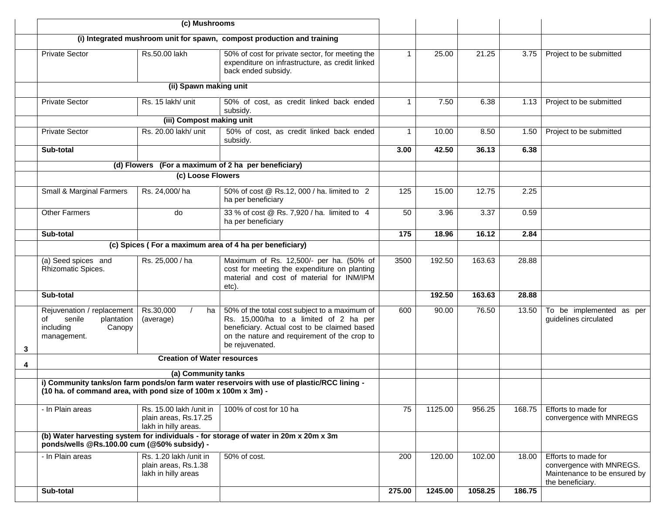|   | (c) Mushrooms                                                                                                                       |                                                                          |                                                                                                                                                                                                            |              |         |         |        |                                                                                                     |
|---|-------------------------------------------------------------------------------------------------------------------------------------|--------------------------------------------------------------------------|------------------------------------------------------------------------------------------------------------------------------------------------------------------------------------------------------------|--------------|---------|---------|--------|-----------------------------------------------------------------------------------------------------|
|   |                                                                                                                                     |                                                                          | (i) Integrated mushroom unit for spawn, compost production and training                                                                                                                                    |              |         |         |        |                                                                                                     |
|   | <b>Private Sector</b>                                                                                                               | Rs.50.00 lakh                                                            | 50% of cost for private sector, for meeting the<br>expenditure on infrastructure, as credit linked<br>back ended subsidy.                                                                                  | $\mathbf{1}$ | 25.00   | 21.25   | 3.75   | Project to be submitted                                                                             |
|   |                                                                                                                                     | (ii) Spawn making unit                                                   |                                                                                                                                                                                                            |              |         |         |        |                                                                                                     |
|   | <b>Private Sector</b>                                                                                                               | Rs. 15 lakh/ unit                                                        | 50% of cost, as credit linked back ended<br>subsidy.                                                                                                                                                       | $\mathbf{1}$ | 7.50    | 6.38    | 1.13   | Project to be submitted                                                                             |
|   |                                                                                                                                     | (iii) Compost making unit                                                |                                                                                                                                                                                                            |              |         |         |        |                                                                                                     |
|   | <b>Private Sector</b>                                                                                                               | Rs. 20.00 lakh/ unit                                                     | 50% of cost, as credit linked back ended<br>subsidy.                                                                                                                                                       | $\mathbf{1}$ | 10.00   | 8.50    | 1.50   | Project to be submitted                                                                             |
|   | Sub-total                                                                                                                           |                                                                          |                                                                                                                                                                                                            | 3.00         | 42.50   | 36.13   | 6.38   |                                                                                                     |
|   |                                                                                                                                     |                                                                          | (d) Flowers (For a maximum of 2 ha per beneficiary)                                                                                                                                                        |              |         |         |        |                                                                                                     |
|   |                                                                                                                                     | (c) Loose Flowers                                                        |                                                                                                                                                                                                            |              |         |         |        |                                                                                                     |
|   | Small & Marginal Farmers                                                                                                            | Rs. 24,000/ha                                                            | 50% of cost @ Rs.12, 000 / ha. limited to 2<br>ha per beneficiary                                                                                                                                          | 125          | 15.00   | 12.75   | 2.25   |                                                                                                     |
|   | <b>Other Farmers</b>                                                                                                                | do                                                                       | 33 % of cost @ Rs. 7,920 / ha. limited to 4<br>ha per beneficiary                                                                                                                                          | 50           | 3.96    | 3.37    | 0.59   |                                                                                                     |
|   | Sub-total                                                                                                                           |                                                                          |                                                                                                                                                                                                            | 175          | 18.96   | 16.12   | 2.84   |                                                                                                     |
|   |                                                                                                                                     |                                                                          | (c) Spices (For a maximum area of 4 ha per beneficiary)                                                                                                                                                    |              |         |         |        |                                                                                                     |
|   | (a) Seed spices and<br>Rhizomatic Spices.                                                                                           | Rs. 25,000 / ha                                                          | Maximum of Rs. 12,500/- per ha. (50% of<br>cost for meeting the expenditure on planting<br>material and cost of material for INM/IPM<br>etc).                                                              | 3500         | 192.50  | 163.63  | 28.88  |                                                                                                     |
|   | Sub-total                                                                                                                           |                                                                          |                                                                                                                                                                                                            |              | 192.50  | 163.63  | 28.88  |                                                                                                     |
| 3 | Rejuvenation / replacement<br>senile<br>of<br>plantation<br>Canopy<br>including<br>management.                                      | Rs.30,000<br>ha<br>(average)                                             | 50% of the total cost subject to a maximum of<br>Rs. 15,000/ha to a limited of 2 ha per<br>beneficiary. Actual cost to be claimed based<br>on the nature and requirement of the crop to<br>be rejuvenated. | 600          | 90.00   | 76.50   | 13.50  | To be implemented as per<br>guidelines circulated                                                   |
| 4 |                                                                                                                                     | <b>Creation of Water resources</b>                                       |                                                                                                                                                                                                            |              |         |         |        |                                                                                                     |
|   |                                                                                                                                     | (a) Community tanks                                                      |                                                                                                                                                                                                            |              |         |         |        |                                                                                                     |
|   | (10 ha. of command area, with pond size of 100m x 100m x 3m) -                                                                      |                                                                          | i) Community tanks/on farm ponds/on farm water reservoirs with use of plastic/RCC lining -                                                                                                                 |              |         |         |        |                                                                                                     |
|   | - In Plain areas                                                                                                                    | Rs. 15.00 lakh /unit in<br>plain areas, Rs.17.25<br>lakh in hilly areas. | 100% of cost for 10 ha                                                                                                                                                                                     | 75           | 1125.00 | 956.25  | 168.75 | Efforts to made for<br>convergence with MNREGS                                                      |
|   | (b) Water harvesting system for individuals - for storage of water in 20m x 20m x 3m<br>ponds/wells @Rs.100.00 cum (@50% subsidy) - |                                                                          |                                                                                                                                                                                                            |              |         |         |        |                                                                                                     |
|   | - In Plain areas                                                                                                                    | Rs. 1.20 lakh /unit in<br>plain areas, Rs.1.38<br>lakh in hilly areas    | 50% of cost.                                                                                                                                                                                               | 200          | 120.00  | 102.00  | 18.00  | Efforts to made for<br>convergence with MNREGS.<br>Maintenance to be ensured by<br>the beneficiary. |
|   | Sub-total                                                                                                                           |                                                                          |                                                                                                                                                                                                            | 275.00       | 1245.00 | 1058.25 | 186.75 |                                                                                                     |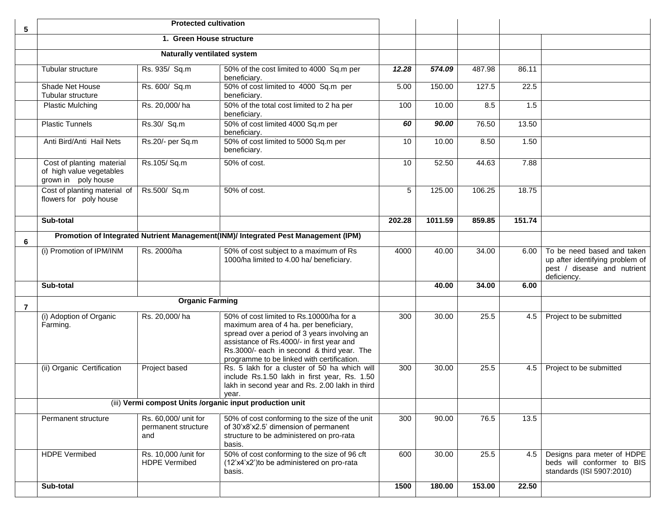| 5 | <b>Protected cultivation</b>                                                 |                                                    |                                                                                                                                                                                                                                                                             |        |         |        |        |                                                                                                             |
|---|------------------------------------------------------------------------------|----------------------------------------------------|-----------------------------------------------------------------------------------------------------------------------------------------------------------------------------------------------------------------------------------------------------------------------------|--------|---------|--------|--------|-------------------------------------------------------------------------------------------------------------|
|   | 1. Green House structure                                                     |                                                    |                                                                                                                                                                                                                                                                             |        |         |        |        |                                                                                                             |
|   |                                                                              |                                                    |                                                                                                                                                                                                                                                                             |        |         |        |        |                                                                                                             |
|   | Tubular structure                                                            | Rs. 935/ Sq.m                                      | 50% of the cost limited to 4000 Sq.m per<br>beneficiary.                                                                                                                                                                                                                    | 12.28  | 574.09  | 487.98 | 86.11  |                                                                                                             |
|   | Shade Net House<br>Tubular structure                                         | Rs. 600/ Sq.m                                      | 50% of cost limited to 4000 Sq.m per<br>beneficiary.                                                                                                                                                                                                                        | 5.00   | 150.00  | 127.5  | 22.5   |                                                                                                             |
|   | <b>Plastic Mulching</b>                                                      | Rs. 20,000/ha                                      | 50% of the total cost limited to 2 ha per<br>beneficiary.                                                                                                                                                                                                                   | 100    | 10.00   | 8.5    | 1.5    |                                                                                                             |
|   | <b>Plastic Tunnels</b>                                                       | Rs.30/ Sq.m                                        | 50% of cost limited 4000 Sq.m per<br>beneficiary.                                                                                                                                                                                                                           | 60     | 90.00   | 76.50  | 13.50  |                                                                                                             |
|   | Anti Bird/Anti Hail Nets                                                     | Rs.20/- per Sq.m                                   | 50% of cost limited to 5000 Sq.m per<br>beneficiary.                                                                                                                                                                                                                        | 10     | 10.00   | 8.50   | 1.50   |                                                                                                             |
|   | Cost of planting material<br>of high value vegetables<br>grown in poly house | Rs.105/Sq.m                                        | 50% of cost.                                                                                                                                                                                                                                                                | 10     | 52.50   | 44.63  | 7.88   |                                                                                                             |
|   | Cost of planting material of<br>flowers for poly house                       | Rs.500/ Sq.m                                       | 50% of cost.                                                                                                                                                                                                                                                                | 5      | 125.00  | 106.25 | 18.75  |                                                                                                             |
|   | Sub-total                                                                    |                                                    |                                                                                                                                                                                                                                                                             | 202.28 | 1011.59 | 859.85 | 151.74 |                                                                                                             |
| 6 |                                                                              |                                                    | Promotion of Integrated Nutrient Management(INM)/ Integrated Pest Management (IPM)                                                                                                                                                                                          |        |         |        |        |                                                                                                             |
|   | (i) Promotion of IPM/INM                                                     | Rs. 2000/ha                                        | 50% of cost subject to a maximum of Rs<br>1000/ha limited to 4.00 ha/ beneficiary.                                                                                                                                                                                          | 4000   | 40.00   | 34.00  | 6.00   | To be need based and taken<br>up after identifying problem of<br>pest / disease and nutrient<br>deficiency. |
|   | Sub-total                                                                    |                                                    |                                                                                                                                                                                                                                                                             |        | 40.00   | 34.00  | 6.00   |                                                                                                             |
| 7 |                                                                              | <b>Organic Farming</b>                             |                                                                                                                                                                                                                                                                             |        |         |        |        |                                                                                                             |
|   | (i) Adoption of Organic<br>Farming.                                          | Rs. 20,000/ha                                      | 50% of cost limited to Rs.10000/ha for a<br>maximum area of 4 ha. per beneficiary,<br>spread over a period of 3 years involving an<br>assistance of Rs.4000/- in first year and<br>Rs.3000/- each in second & third year. The<br>programme to be linked with certification. | 300    | 30.00   | 25.5   | 4.5    | Project to be submitted                                                                                     |
|   | (ii) Organic Certification                                                   | Project based                                      | Rs. 5 lakh for a cluster of 50 ha which will<br>include Rs.1.50 lakh in first year, Rs. 1.50<br>lakh in second year and Rs. 2.00 lakh in third<br>year.                                                                                                                     | 300    | 30.00   | 25.5   | 4.5    | Project to be submitted                                                                                     |
|   | (iii) Vermi compost Units /organic input production unit                     |                                                    |                                                                                                                                                                                                                                                                             |        |         |        |        |                                                                                                             |
|   | Permanent structure                                                          | Rs. 60,000/ unit for<br>permanent structure<br>and | 50% of cost conforming to the size of the unit<br>of 30'x8'x2.5' dimension of permanent<br>structure to be administered on pro-rata<br>basis.                                                                                                                               | 300    | 90.00   | 76.5   | 13.5   |                                                                                                             |
|   | <b>HDPE Vermibed</b>                                                         | Rs. 10,000 / unit for<br><b>HDPE Vermibed</b>      | 50% of cost conforming to the size of 96 cft<br>(12'x4'x2') to be administered on pro-rata<br>basis.                                                                                                                                                                        | 600    | 30.00   | 25.5   |        | 4.5   Designs para meter of HDPE<br>beds will conformer to BIS<br>standards (ISI 5907:2010)                 |
|   | Sub-total                                                                    |                                                    |                                                                                                                                                                                                                                                                             | 1500   | 180.00  | 153.00 | 22.50  |                                                                                                             |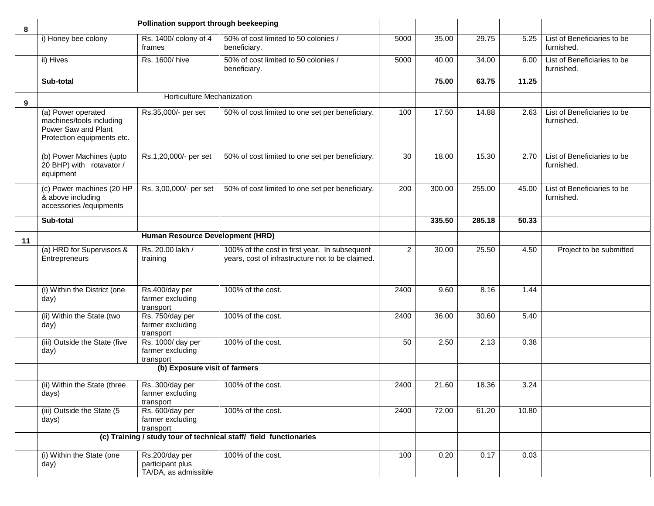| 8  | Pollination support through beekeeping                                                              |                                                                                     |                                                                                                   |                |        |        |       |                                           |
|----|-----------------------------------------------------------------------------------------------------|-------------------------------------------------------------------------------------|---------------------------------------------------------------------------------------------------|----------------|--------|--------|-------|-------------------------------------------|
|    | i) Honey bee colony                                                                                 | Rs. 1400/ colony of 4<br>frames                                                     | 50% of cost limited to 50 colonies /<br>beneficiary.                                              | 5000           | 35.00  | 29.75  | 5.25  | List of Beneficiaries to be<br>furnished. |
|    | ii) Hives                                                                                           | Rs. 1600/hive                                                                       | 50% of cost limited to 50 colonies /<br>beneficiary.                                              | 5000           | 40.00  | 34.00  | 6.00  | List of Beneficiaries to be<br>furnished. |
|    | Sub-total                                                                                           |                                                                                     |                                                                                                   |                | 75.00  | 63.75  | 11.25 |                                           |
| 9  |                                                                                                     | Horticulture Mechanization                                                          |                                                                                                   |                |        |        |       |                                           |
|    | (a) Power operated<br>machines/tools including<br>Power Saw and Plant<br>Protection equipments etc. | Rs.35,000/- per set                                                                 | 50% of cost limited to one set per beneficiary.                                                   | 100            | 17.50  | 14.88  | 2.63  | List of Beneficiaries to be<br>furnished. |
|    | (b) Power Machines (upto<br>20 BHP) with rotavator /<br>equipment                                   | Rs.1,20,000/- per set                                                               | 50% of cost limited to one set per beneficiary.                                                   | 30             | 18.00  | 15.30  | 2.70  | List of Beneficiaries to be<br>furnished. |
|    | (c) Power machines (20 HP<br>& above including<br>accessories /equipments                           | Rs. 3,00,000/- per set                                                              | 50% of cost limited to one set per beneficiary.                                                   | 200            | 300.00 | 255.00 | 45.00 | List of Beneficiaries to be<br>furnished. |
|    | Sub-total                                                                                           |                                                                                     |                                                                                                   |                | 335.50 | 285.18 | 50.33 |                                           |
| 11 |                                                                                                     | Human Resource Development (HRD)                                                    |                                                                                                   |                |        |        |       |                                           |
|    | (a) HRD for Supervisors &<br>Entrepreneurs                                                          | Rs. 20.00 lakh /<br>training                                                        | 100% of the cost in first year. In subsequent<br>years, cost of infrastructure not to be claimed. | $\overline{2}$ | 30.00  | 25.50  | 4.50  | Project to be submitted                   |
|    | (i) Within the District (one<br>day)                                                                | Rs.400/day per<br>farmer excluding<br>transport                                     | 100% of the cost.                                                                                 | 2400           | 9.60   | 8.16   | 1.44  |                                           |
|    | (ii) Within the State (two<br>day)                                                                  | Rs. 750/day per<br>farmer excluding<br>transport                                    | 100% of the cost.                                                                                 | 2400           | 36.00  | 30.60  | 5.40  |                                           |
|    | (iii) Outside the State (five<br>day)                                                               | Rs. 1000/ day per<br>farmer excluding<br>transport<br>(b) Exposure visit of farmers | 100% of the cost.                                                                                 | 50             | 2.50   | 2.13   | 0.38  |                                           |
|    |                                                                                                     |                                                                                     |                                                                                                   |                |        |        |       |                                           |
|    | (ii) Within the State (three<br>days)                                                               | Rs. 300/day per<br>farmer excluding<br>transport                                    | 100% of the cost.                                                                                 | 2400           | 21.60  | 18.36  | 3.24  |                                           |
|    | (iii) Outside the State (5<br>days)                                                                 | Rs. 600/day per<br>farmer excluding<br>transport                                    | 100% of the cost.                                                                                 | 2400           | 72.00  | 61.20  | 10.80 |                                           |
|    |                                                                                                     |                                                                                     | (c) Training / study tour of technical staff/ field functionaries                                 |                |        |        |       |                                           |
|    | (i) Within the State (one<br>day)                                                                   | Rs.200/day per<br>participant plus<br>TA/DA, as admissible                          | 100% of the cost.                                                                                 | 100            | 0.20   | 0.17   | 0.03  |                                           |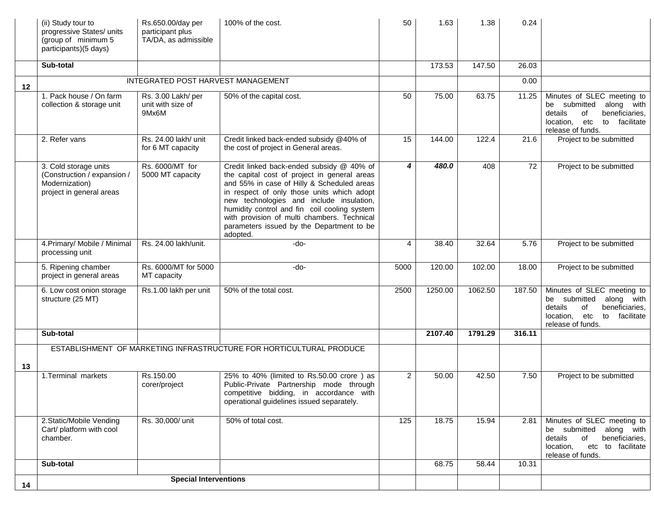|    | (ii) Study tour to<br>progressive States/ units<br>(group of minimum 5<br>participants)(5 days)    | Rs.650.00/day per<br>participant plus<br>TA/DA, as admissible | 100% of the cost.                                                                                                                                                                                                                                                                                                                                                                         | 50             | 1.63    | 1.38    | 0.24   |                                                                                                                                                    |
|----|----------------------------------------------------------------------------------------------------|---------------------------------------------------------------|-------------------------------------------------------------------------------------------------------------------------------------------------------------------------------------------------------------------------------------------------------------------------------------------------------------------------------------------------------------------------------------------|----------------|---------|---------|--------|----------------------------------------------------------------------------------------------------------------------------------------------------|
|    | Sub-total                                                                                          |                                                               |                                                                                                                                                                                                                                                                                                                                                                                           |                | 173.53  | 147.50  | 26.03  |                                                                                                                                                    |
| 12 |                                                                                                    | INTEGRATED POST HARVEST MANAGEMENT                            |                                                                                                                                                                                                                                                                                                                                                                                           |                |         |         | 0.00   |                                                                                                                                                    |
|    | 1. Pack house / On farm<br>collection & storage unit                                               | Rs. 3.00 Lakh/ per<br>unit with size of<br>9Mx6M              | 50% of the capital cost.                                                                                                                                                                                                                                                                                                                                                                  | 50             | 75.00   | 63.75   | 11.25  | Minutes of SLEC meeting to<br>be submitted along with<br>details<br>beneficiaries,<br>of<br>to facilitate<br>location, etc<br>release of funds.    |
|    | 2. Refer vans                                                                                      | Rs. 24.00 lakh/ unit<br>for 6 MT capacity                     | Credit linked back-ended subsidy @40% of<br>the cost of project in General areas.                                                                                                                                                                                                                                                                                                         | 15             | 144.00  | 122.4   | 21.6   | Project to be submitted                                                                                                                            |
|    | 3. Cold storage units<br>(Construction / expansion /<br>Modernization)<br>project in general areas | Rs. 6000/MT for<br>5000 MT capacity                           | Credit linked back-ended subsidy @ 40% of<br>the capital cost of project in general areas<br>and 55% in case of Hilly & Scheduled areas<br>in respect of only those units which adopt<br>new technologies and include insulation,<br>humidity control and fin coil cooling system<br>with provision of multi chambers. Technical<br>parameters issued by the Department to be<br>adopted. | 4              | 480.0   | 408     | 72     | Project to be submitted                                                                                                                            |
|    | 4. Primary/ Mobile / Minimal<br>processing unit                                                    | Rs. 24.00 lakh/unit.                                          | $-do-$                                                                                                                                                                                                                                                                                                                                                                                    | 4              | 38.40   | 32.64   | 5.76   | Project to be submitted                                                                                                                            |
|    | 5. Ripening chamber<br>project in general areas                                                    | Rs. 6000/MT for 5000<br>MT capacity                           | -do-                                                                                                                                                                                                                                                                                                                                                                                      | 5000           | 120.00  | 102.00  | 18.00  | Project to be submitted                                                                                                                            |
|    | 6. Low cost onion storage<br>structure (25 MT)                                                     | Rs.1.00 lakh per unit                                         | 50% of the total cost.                                                                                                                                                                                                                                                                                                                                                                    | 2500           | 1250.00 | 1062.50 | 187.50 | Minutes of SLEC meeting to<br>be submitted<br>along with<br>details<br>of<br>beneficiaries,<br>location, etc<br>to facilitate<br>release of funds. |
|    | Sub-total                                                                                          |                                                               |                                                                                                                                                                                                                                                                                                                                                                                           |                | 2107.40 | 1791.29 | 316.11 |                                                                                                                                                    |
|    |                                                                                                    |                                                               | ESTABLISHMENT OF MARKETING INFRASTRUCTURE FOR HORTICULTURAL PRODUCE                                                                                                                                                                                                                                                                                                                       |                |         |         |        |                                                                                                                                                    |
| 13 |                                                                                                    |                                                               |                                                                                                                                                                                                                                                                                                                                                                                           |                |         |         |        |                                                                                                                                                    |
|    | 1. Terminal markets                                                                                | Rs.150.00<br>corer/project                                    | 25% to 40% (limited to Rs.50.00 crore) as<br>Public-Private Partnership mode through<br>competitive bidding, in accordance with<br>operational guidelines issued separately.                                                                                                                                                                                                              | $\overline{2}$ | 50.00   | 42.50   | 7.50   | Project to be submitted                                                                                                                            |
|    | 2.Static/Mobile Vending<br>Cart/ platform with cool<br>chamber.                                    | Rs. 30,000/ unit                                              | 50% of total cost.                                                                                                                                                                                                                                                                                                                                                                        | 125            | 18.75   | 15.94   | 2.81   | Minutes of SLEC meeting to<br>be submitted along with<br>details<br>of<br>beneficiaries,<br>etc to facilitate<br>location,<br>release of funds.    |
|    | Sub-total                                                                                          |                                                               |                                                                                                                                                                                                                                                                                                                                                                                           |                | 68.75   | 58.44   | 10.31  |                                                                                                                                                    |
| 14 | <b>Special Interventions</b>                                                                       |                                                               |                                                                                                                                                                                                                                                                                                                                                                                           |                |         |         |        |                                                                                                                                                    |